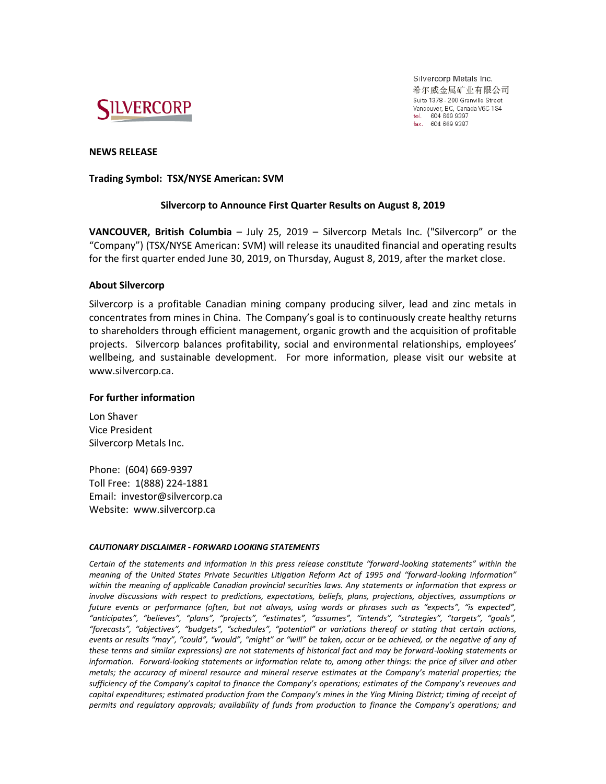

Silvercorp Metals Inc. 希尔威金属矿业有限公司 Suite 1378 - 200 Granville Street Vancouver, BC, Canada V6C 1S4 tel. 604 669 9397<br>fax. 604 669 9397

## **NEWS RELEASE**

### **Trading Symbol: TSX/NYSE American: SVM**

# **Silvercorp to Announce First Quarter Results on August 8, 2019**

**VANCOUVER, British Columbia** – July 25, 2019 – Silvercorp Metals Inc. ("Silvercorp" or the "Company") (TSX/NYSE American: SVM) will release its unaudited financial and operating results for the first quarter ended June 30, 2019, on Thursday, August 8, 2019, after the market close.

# **About Silvercorp**

Silvercorp is a profitable Canadian mining company producing silver, lead and zinc metals in concentrates from mines in China. The Company's goal is to continuously create healthy returns to shareholders through efficient management, organic growth and the acquisition of profitable projects. Silvercorp balances profitability, social and environmental relationships, employees' wellbeing, and sustainable development. For more information, please visit our website at www.silvercorp.ca.

## **For further information**

Lon Shaver Vice President Silvercorp Metals Inc.

Phone: (604) 669-9397 Toll Free: 1(888) 224-1881 Email: investor@silvercorp.ca Website: www.silvercorp.ca

### *CAUTIONARY DISCLAIMER - FORWARD LOOKING STATEMENTS*

*Certain of the statements and information in this press release constitute "forward-looking statements" within the meaning of the United States Private Securities Litigation Reform Act of 1995 and "forward-looking information" within the meaning of applicable Canadian provincial securities laws. Any statements or information that express or involve discussions with respect to predictions, expectations, beliefs, plans, projections, objectives, assumptions or future events or performance (often, but not always, using words or phrases such as "expects", "is expected", "anticipates", "believes", "plans", "projects", "estimates", "assumes", "intends", "strategies", "targets", "goals", "forecasts", "objectives", "budgets", "schedules", "potential" or variations thereof or stating that certain actions, events or results "may", "could", "would", "might" or "will" be taken, occur or be achieved, or the negative of any of these terms and similar expressions) are not statements of historical fact and may be forward-looking statements or information. Forward-looking statements or information relate to, among other things: the price of silver and other metals; the accuracy of mineral resource and mineral reserve estimates at the Company's material properties; the sufficiency of the Company's capital to finance the Company's operations; estimates of the Company's revenues and capital expenditures; estimated production from the Company's mines in the Ying Mining District; timing of receipt of permits and regulatory approvals; availability of funds from production to finance the Company's operations; and*